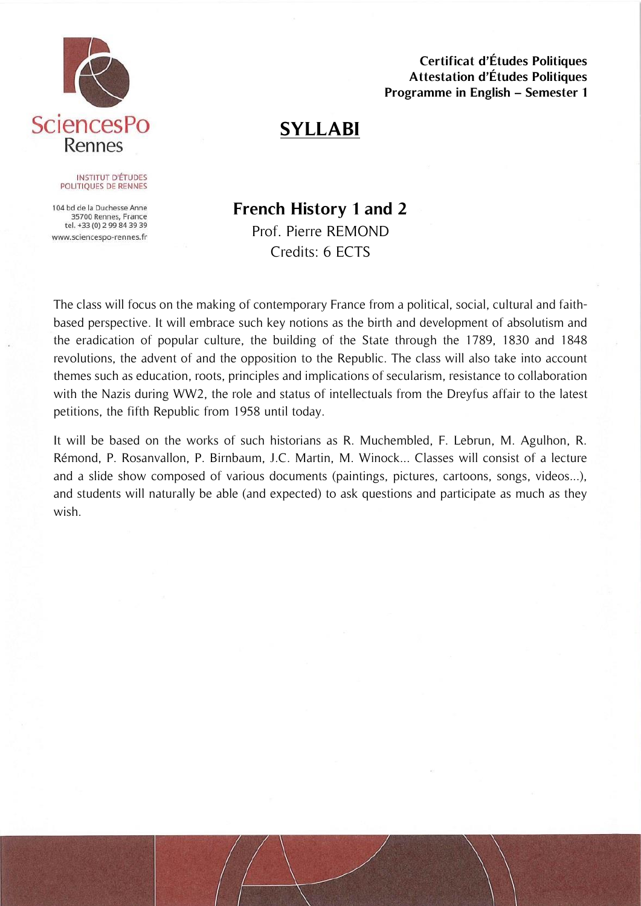

**Certificat d'Études Politiques Attestation d'Études Politiques Programme in English – Semester 1**

# **SYLLABI**

#### **INSTITUT D'ÉTUDES** POLITIQUES DE RENNES

104 bd de la Duchesse Anne 35700 Rennes, France tel. +33 (0) 2 99 84 39 39 www.sciencespo-rennes.fr

## **French History 1 and 2** Prof. Pierre REMOND Credits: 6 ECTS

The class will focus on the making of contemporary France from a political, social, cultural and faithbased perspective. It will embrace such key notions as the birth and development of absolutism and the eradication of popular culture, the building of the State through the 1789, 1830 and 1848 revolutions, the advent of and the opposition to the Republic. The class will also take into account themes such as education, roots, principles and implications of secularism, resistance to collaboration with the Nazis during WW2, the role and status of intellectuals from the Dreyfus affair to the latest petitions, the fifth Republic from 1958 until today.

It will be based on the works of such historians as R. Muchembled, F. Lebrun, M. Agulhon, R. Rémond, P. Rosanvallon, P. Birnbaum, J.C. Martin, M. Winock... Classes will consist of a lecture and a slide show composed of various documents (paintings, pictures, cartoons, songs, videos...), and students will naturally be able (and expected) to ask questions and participate as much as they wish.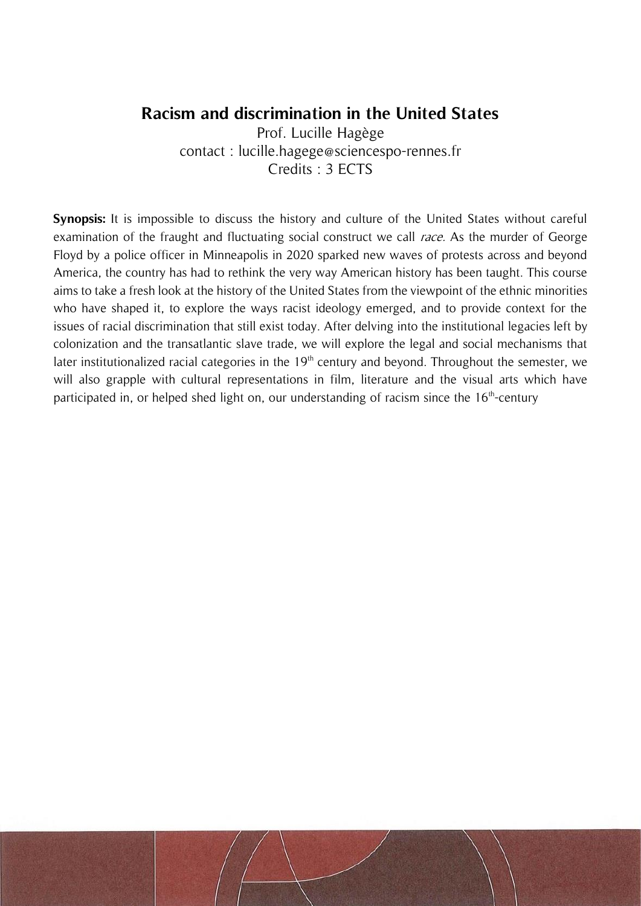### **Racism and discrimination in the United States**

Prof. Lucille Hagège contact : lucille.hagege@sciencespo-rennes.fr Credits : 3 ECTS

**Synopsis:** It is impossible to discuss the history and culture of the United States without careful examination of the fraught and fluctuating social construct we call *race*. As the murder of George Floyd by a police officer in Minneapolis in 2020 sparked new waves of protests across and beyond America, the country has had to rethink the very way American history has been taught. This course aims to take a fresh look at the history of the United States from the viewpoint of the ethnic minorities who have shaped it, to explore the ways racist ideology emerged, and to provide context for the issues of racial discrimination that still exist today. After delving into the institutional legacies left by colonization and the transatlantic slave trade, we will explore the legal and social mechanisms that later institutionalized racial categories in the  $19<sup>th</sup>$  century and beyond. Throughout the semester, we will also grapple with cultural representations in film, literature and the visual arts which have participated in, or helped shed light on, our understanding of racism since the  $16<sup>th</sup>$ -century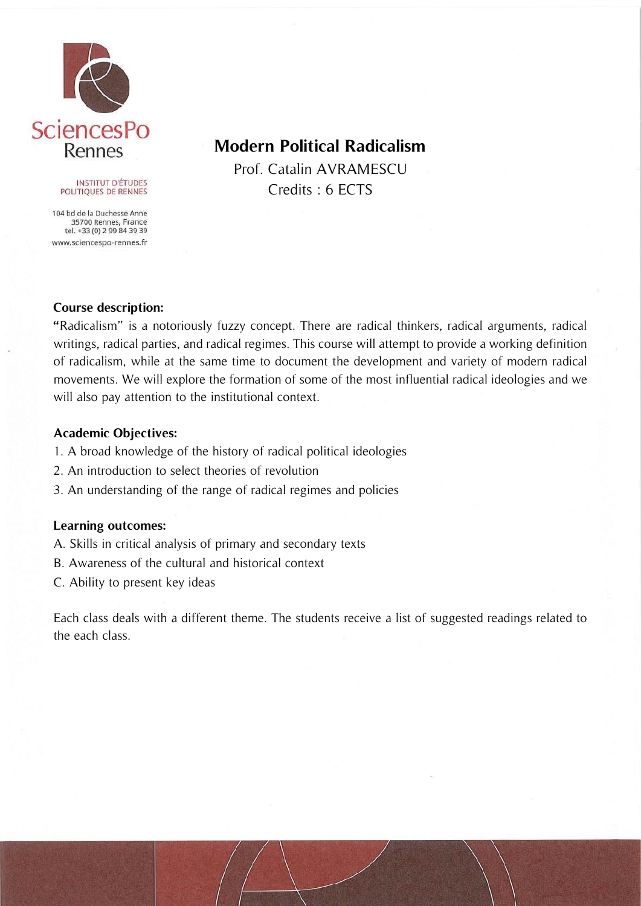

#### **INSTITUT D'ÉTUDES** POLITIQUES DE RENNES

104 bd de la Duchesse Anne 35700 Rennes, France tel. +33 (0) 2 99 84 39 39 www.sciencespo-rennes.fr

## **Modern Political Radicalism**

Prof. Catalin AVRAMESCU Credits : 6 ECTS

#### **Course description:**

**"**Radicalism" is a notoriously fuzzy concept. There are radical thinkers, radical arguments, radical writings, radical parties, and radical regimes. This course will attempt to provide a working definition of radicalism, while at the same time to document the development and variety of modern radical movements. We will explore the formation of some of the most influential radical ideologies and we will also pay attention to the institutional context.

### **Academic Objectives:**

- 1. A broad knowledge of the history of radical political ideologies
- 2. An introduction to select theories of revolution
- 3. An understanding of the range of radical regimes and policies

### **Learning outcomes:**

- A. Skills in critical analysis of primary and secondary texts
- B. Awareness of the cultural and historical context
- C. Ability to present key ideas

Each class deals with a different theme. The students receive a list of suggested readings related to the each class.